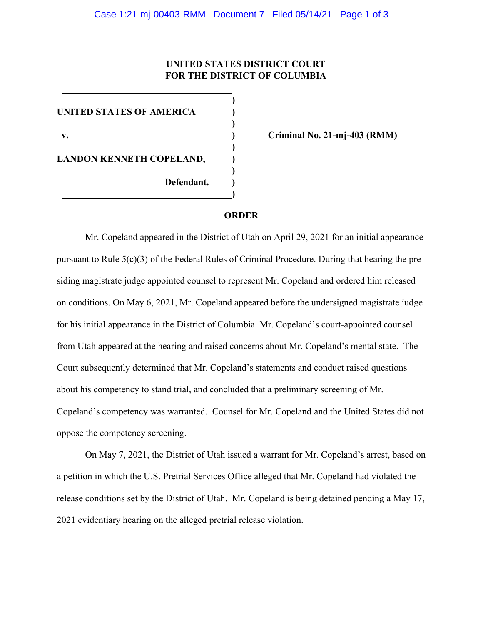## **UNITED STATES DISTRICT COURT FOR THE DISTRICT OF COLUMBIA**

**)**

**)**

 **)**

**)**

**)**

**UNITED STATES OF AMERICA ) v. ) Criminal No. 21-mj-403 (RMM) LANDON KENNETH COPELAND, ) Defendant. )**

## **ORDER**

Mr. Copeland appeared in the District of Utah on April 29, 2021 for an initial appearance pursuant to Rule  $5(c)(3)$  of the Federal Rules of Criminal Procedure. During that hearing the presiding magistrate judge appointed counsel to represent Mr. Copeland and ordered him released on conditions. On May 6, 2021, Mr. Copeland appeared before the undersigned magistrate judge for his initial appearance in the District of Columbia. Mr. Copeland's court-appointed counsel from Utah appeared at the hearing and raised concerns about Mr. Copeland's mental state. The Court subsequently determined that Mr. Copeland's statements and conduct raised questions about his competency to stand trial, and concluded that a preliminary screening of Mr. Copeland's competency was warranted. Counsel for Mr. Copeland and the United States did not oppose the competency screening.

On May 7, 2021, the District of Utah issued a warrant for Mr. Copeland's arrest, based on a petition in which the U.S. Pretrial Services Office alleged that Mr. Copeland had violated the release conditions set by the District of Utah. Mr. Copeland is being detained pending a May 17, 2021 evidentiary hearing on the alleged pretrial release violation.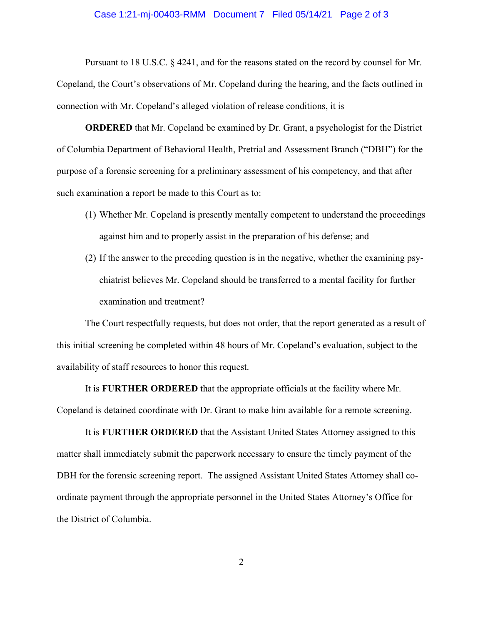## Case 1:21-mj-00403-RMM Document 7 Filed 05/14/21 Page 2 of 3

Pursuant to 18 U.S.C. § 4241, and for the reasons stated on the record by counsel for Mr. Copeland, the Court's observations of Mr. Copeland during the hearing, and the facts outlined in connection with Mr. Copeland's alleged violation of release conditions, it is

**ORDERED** that Mr. Copeland be examined by Dr. Grant, a psychologist for the District of Columbia Department of Behavioral Health, Pretrial and Assessment Branch ("DBH") for the purpose of a forensic screening for a preliminary assessment of his competency, and that after such examination a report be made to this Court as to:

- (1) Whether Mr. Copeland is presently mentally competent to understand the proceedings against him and to properly assist in the preparation of his defense; and
- (2) If the answer to the preceding question is in the negative, whether the examining psychiatrist believes Mr. Copeland should be transferred to a mental facility for further examination and treatment?

The Court respectfully requests, but does not order, that the report generated as a result of this initial screening be completed within 48 hours of Mr. Copeland's evaluation, subject to the availability of staff resources to honor this request.

It is **FURTHER ORDERED** that the appropriate officials at the facility where Mr. Copeland is detained coordinate with Dr. Grant to make him available for a remote screening.

It is **FURTHER ORDERED** that the Assistant United States Attorney assigned to this matter shall immediately submit the paperwork necessary to ensure the timely payment of the DBH for the forensic screening report. The assigned Assistant United States Attorney shall coordinate payment through the appropriate personnel in the United States Attorney's Office for the District of Columbia.

2